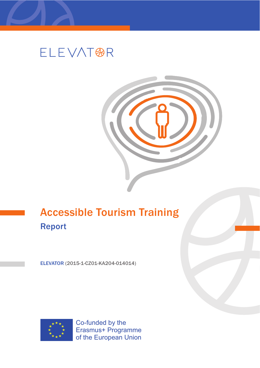

# **ELEVAT®R**

## Accessible Tourism Training Report

ELEVATOR (2015-1-CZ01-KA204-014014)



Co-funded by the Erasmus+ Programme of the European Union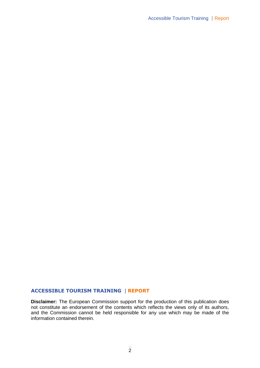## **ACCESSIBLE TOURISM TRAINING | REPORT**

**Disclaimer:** The European Commission support for the production of this publication does not constitute an endorsement of the contents which reflects the views only of its authors, and the Commission cannot be held responsible for any use which may be made of the information contained therein.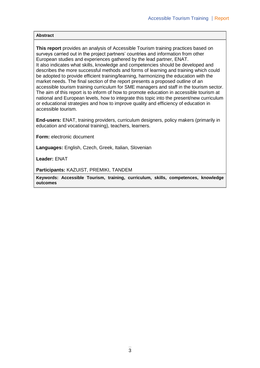#### **Abstract**

**This report** provides an analysis of Accessible Tourism training practices based on surveys carried out in the project partners' countries and information from other European studies and experiences gathered by the lead partner, ENAT. It also indicates what skills, knowledge and competencies should be developed and describes the more successful methods and forms of learning and training which could be adopted to provide efficient training/learning, harmonizing the education with the market needs. The final section of the report presents a proposed outline of an accessible tourism training curriculum for SME managers and staff in the tourism sector. The aim of this report is to inform of how to promote education in accessible tourism at national and European levels, how to integrate this topic into the present/new curriculum or educational strategies and how to improve quality and efficiency of education in accessible tourism.

**End-users:** ENAT, training providers, curriculum designers, policy makers (primarily in education and vocational training), teachers, learners.

**Form:** electronic document

**Languages:** English, Czech, Greek, Italian, Slovenian

**Leader:** ENAT

**Participants:** KAZUIST, PREMIKI, TANDEM

**Keywords: Accessible Tourism, training, curriculum, skills, competences, knowledge outcomes**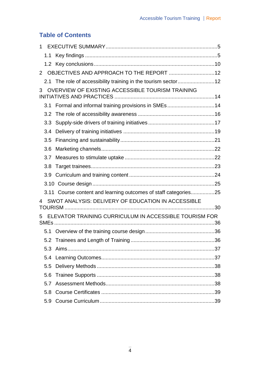## **Table of Contents**

| $\overline{2}$ |     |                                                                 |  |
|----------------|-----|-----------------------------------------------------------------|--|
|                |     | 2.1 The role of accessibility training in the tourism sector12  |  |
| 3              |     | OVERVIEW OF EXISTING ACCESSIBLE TOURISM TRAINING                |  |
|                |     | 3.1 Formal and informal training provisions in SMEs14           |  |
|                | 3.2 |                                                                 |  |
|                | 3.3 |                                                                 |  |
|                | 3.4 |                                                                 |  |
|                | 3.5 |                                                                 |  |
|                | 3.6 |                                                                 |  |
|                | 3.7 |                                                                 |  |
|                | 3.8 |                                                                 |  |
|                | 3.9 |                                                                 |  |
|                |     |                                                                 |  |
|                |     | 3.11 Course content and learning outcomes of staff categories25 |  |
|                |     | SWOT ANALYSIS: DELIVERY OF EDUCATION IN ACCESSIBLE              |  |
|                |     |                                                                 |  |
|                |     | ELEVATOR TRAINING CURRICULUM IN ACCESSIBLE TOURISM FOR          |  |
|                |     |                                                                 |  |
|                |     |                                                                 |  |
|                |     |                                                                 |  |
|                |     |                                                                 |  |
|                |     |                                                                 |  |
|                | 5.6 |                                                                 |  |
|                | 5.7 |                                                                 |  |
|                |     |                                                                 |  |
|                | 5.9 |                                                                 |  |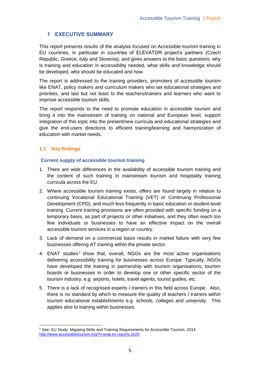## **1 EXECUTIVE SUMMARY**

This report presents results of the analysis focused on Accessible tourism training in EU countries, in particular in countries of ELEVATOR project's partners (Czech Republic, Greece, Italy and Slovenia), and gives answers to the basic questions: why is training and education in accessibility needed, what skills and knowledge should be developed, who should be educated and how.

The report is addressed to the training providers, promoters of accessible tourism like ENAT, policy makers and curriculum makers who set educational strategies and priorities, and last but not least to the teachers/trainers and learners who want to improve accessible tourism skills.

The report responds to the need to promote education in accessible tourism and bring it into the mainstream of training on national and European level, support integration of this topic into the present/new curricula and educational strategies and give the end-users directions to efficient training/learning and harmonization of education with market needs.

## **1.1 Key findings**

#### **Current supply of accessible tourism training**

- 1. There are wide differences in the availability of accessible tourism training and the content of such training in mainstream tourism and hospitality training curricula across the EU.
- 2. Where accessible tourism training exists, offers are found largely in relation to continuing Vocational Educational Training (VET) or Continuing Professional Development (CPD), and much less frequently in basic education or student-level training. Current training provisions are often provided with specific funding on a temporary basis, as part of projects or other initiatives, and they often reach too few individuals or businesses to have an effective impact on the overall accessible tourism services in a region or country.
- 3. Lack of demand on a commercial basis results in market failure with very few businesses offering AT training within the private sector.
- 4. ENAT studies<sup>1</sup> show that, overall, NGOs are the most active organisations delivering accessibility training for businesses across Europe. Typically, NGOs have developed the training in partnership with tourism organisations, tourism boards or businesses in order to develop one or other specific sector of the tourism industry, e.g. airports, hotels, travel agents, tourist guides, etc.
- 5. There is a lack of recognised experts / trainers in this field across Europe. Also, there is no standard by which to measure the quality of teachers / trainers within tourism educational establishments e.g. schools, colleges and university. This applies also to training within businesses.

<sup>-</sup><sup>1</sup> See: EU Study: Mapping Skills and Training Requirements for Accessible Tourism, 2014 <http://www.accessibletourism.org/?i=enat.en.reports.1620>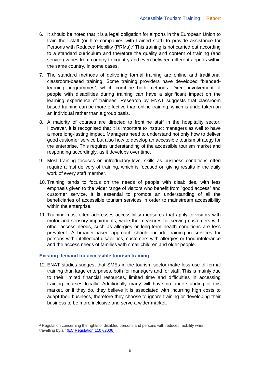- 6. It should be noted that it is a legal obligation for airports in the European Union to train their staff (or hire companies with trained staff) to provide assistance for Persons with Reduced Mobility (PRMs).<sup>2</sup> This training is not carried out according to a standard curriculum and therefore the quality and content of training (and service) varies from country to country and even between different airports within the same country, in some cases.
- 7. The standard methods of delivering formal training are online and traditional classroom-based training. Some training providers have developed "blendedlearning programmes", which combine both methods. Direct involvement of people with disabilities during training can have a significant impact on the learning experience of trainees. Research by ENAT suggests that classroom based training can be more effective than online training, which is undertaken on an individual rather than a group basis.
- 8. A majority of courses are directed to frontline staff in the hospitality sector. However, it is recognised that it is important to instruct managers as well to have a more long-lasting impact. Managers need to understand not only how to deliver good customer service but also how to develop an accessible tourism strategy for the enterprise. This requires understanding of the accessible tourism market and responding accordingly, as it develops over time.
- 9. Most training focuses on introductory-level skills as business conditions often require a fast delivery of training, which is focused on giving results in the daily work of every staff member.
- 10. Training tends to focus on the needs of people with disabilities, with less emphasis given to the wider range of visitors who benefit from "good access" and customer service. It is essential to promote an understanding of all the beneficiaries of accessible tourism services in order to mainstream accessibility within the enterprise.
- 11. Training most often addresses accessibility measures that apply to visitors with motor and sensory impairments, while the measures for serving customers with other access needs, such as allergies or long-term health conditions are less prevalent. A broader-based approach should include training in services for persons with intellectual disabilities, customers with allergies or food intolerance and the access needs of families with small children and older people.

#### **Existing demand for accessible tourism training**

12. ENAT studies suggest that SMEs in the tourism sector make less use of formal training than large enterprises, both for managers and for staff. This is mainly due to their limited financial resources, limited time and difficulties in accessing training courses locally. Additionally many will have no understanding of this market, or if they do, they believe it is associated with incurring high costs to adapt their business, therefore they choose to ignore training or developing their business to be more inclusive and serve a wider market.

<sup>&</sup>lt;sup>2</sup> Regulation concerning the rights of disabled persons and persons with reduced mobility when travelling by air (EC Regulation 1107/2006).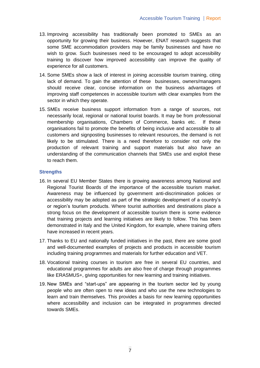- 13. Improving accessibility has traditionally been promoted to SMEs as an opportunity for growing their business. However, ENAT research suggests that some SME accommodation providers may be family businesses and have no wish to grow. Such businesses need to be encouraged to adopt accessibility training to discover how improved accessibility can improve the quality of experience for all customers.
- 14. Some SMEs show a lack of interest in joining accessible tourism training, citing lack of demand. To gain the attention of these businesses, owners/managers should receive clear, concise information on the business advantages of improving staff competences in accessible tourism with clear examples from the sector in which they operate.
- 15. SMEs receive business support information from a range of sources, not necessarily local, regional or national tourist boards. It may be from professional membership organisations, Chambers of Commerce, banks etc. If these organisations fail to promote the benefits of being inclusive and accessible to all customers and signposting businesses to relevant resources, the demand is not likely to be stimulated. There is a need therefore to consider not only the production of relevant training and support materials but also have an understanding of the communication channels that SMEs use and exploit these to reach them.

#### **Strengths**

- 16. In several EU Member States there is growing awareness among National and Regional Tourist Boards of the importance of the accessible tourism market. Awareness may be influenced by government anti-discrimination policies or accessibility may be adopted as part of the strategic development of a country's or region's tourism products. Where tourist authorities and destinations place a strong focus on the development of accessible tourism there is some evidence that training projects and learning initiatives are likely to follow. This has been demonstrated in Italy and the United Kingdom, for example, where training offers have increased in recent years.
- 17. Thanks to EU and nationally funded initiatives in the past, there are some good and well-documented examples of projects and products in accessible tourism including training programmes and materials for further education and VET.
- 18. Vocational training courses in tourism are free in several EU countries, and educational programmes for adults are also free of charge through programmes like ERASMUS+, giving opportunities for new learning and training initiatives.
- 19. New SMEs and "start-ups" are appearing in the tourism sector led by young people who are often open to new ideas and who use the new technologies to learn and train themselves. This provides a basis for new learning opportunities where accessibility and inclusion can be integrated in programmes directed towards SMEs.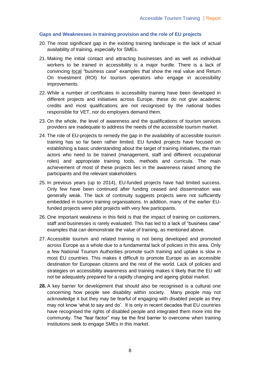## **Gaps and Weaknesses in training provision and the role of EU projects**

- 20. The most significant gap in the existing training landscape is the lack of actual availability of training, especially for SMEs.
- 21. Making the initial contact and attracting businesses and as well as individual workers to be trained in accessibility is a major hurdle. There is a lack of convincing local "business case" examples that show the real value and Return On Investment (ROI) for tourism operators who engage in accessibility improvements.
- 22. While a number of certificates in accessibility training have been developed in different projects and initiatives across Europe, these do not give academic credits and most qualifications are not recognised by the national bodies responsible for VET, nor do employers demand them.
- 23. On the whole, the level of awareness and the qualifications of tourism services providers are inadequate to address the needs of the accessible tourism market.
- 24. The role of EU-projects to remedy the gap in the availability of accessible tourism training has so far been rather limited. EU funded projects have focused on establishing a basic understanding about the target of training initiatives, the main actors who need to be trained (management, staff and different occupational roles) and appropriate training tools, methods and curricula. The main achievement of most of these projects lies in the awareness raised among the participants and the relevant stakeholders.
- 25. In previous years (up to 2014), EU-funded projects have had limited success. Only few have been continued after funding ceased and dissemination was generally weak. The lack of continuity suggests projects were not sufficiently embedded in tourism training organisations. In addition, many of the earlier EUfunded projects were pilot projects with very few participants.
- 26. One important weakness in this field is that the impact of training on customers, staff and businesses is rarely evaluated. This has led to a lack of "business case" examples that can demonstrate the value of training, as mentioned above.
- 27. Accessible tourism and related training is not being developed and promoted across Europe as a whole due to a fundamental lack of policies in this area. Only a few National Tourism Authorities promote such training and uptake is slow in most EU countries. This makes it difficult to promote Europe as an accessible destination for European citizens and the rest of the world. Lack of policies and strategies on accessibility awareness and training makes it likely that the EU will not be adequately prepared for a rapidly changing and ageing global market.
- **28.** A key barrier for development that should also be recognised is a cultural one concerning how people see disability within society. Many people may not acknowledge it but they may be fearful of engaging with disabled people as they may not know 'what to say and do'. It is only in recent decades that EU countries have recognised the rights of disabled people and integrated them more into the community. The "fear factor" may be the first barrier to overcome when training institutions seek to engage SMEs in this market.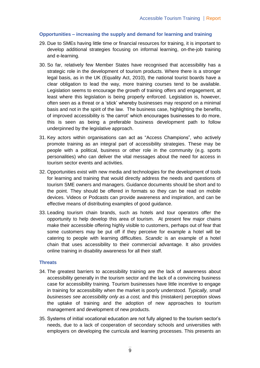### **Opportunities – increasing the supply and demand for learning and training**

- 29. Due to SMEs having little time or financial resources for training, it is important to develop additional strategies focusing on informal learning, on-the-job training and e-learning.
- 30. So far, relatively few Member States have recognised that accessibility has a strategic role in the development of tourism products. Where there is a stronger legal basis, as in the UK (Equality Act, 2010), the national tourist boards have a clear obligation to lead the way, more training courses tend to be available. Legislation seems to encourage the growth of training offers and engagement, at least where this legislation is being properly enforced. Legislation is, however, often seen as a threat or a 'stick' whereby businesses may respond on a minimal basis and not in the spirit of the law. The business case, highlighting the benefits, of improved accessibility is 'the carrot' which encourages businesses to do more, this is seen as being a preferable business development path to follow underpinned by the legislative approach.
- 31. Key actors within organisations can act as "Access Champions", who actively promote training as an integral part of accessibility strategies. These may be people with a political, business or other role in the community (e.g. sports personalities) who can deliver the vital messages about the need for access in tourism sector events and activities.
- 32. Opportunities exist with new media and technologies for the development of tools for learning and training that would directly address the needs and questions of tourism SME owners and managers. Guidance documents should be short and to the point. They should be offered in formats so they can be read on mobile devices. Videos or Podcasts can provide awareness and inspiration, and can be effective means of distributing examples of good guidance.
- 33. Leading tourism chain brands, such as hotels and tour operators offer the opportunity to help develop this area of tourism. At present few major chains make their accessible offering highly visible to customers, perhaps out of fear that some customers may be put off if they perceive for example a hotel will be catering to people with learning difficulties. *Scandic* is an example of a hotel chain that uses accessibility to their commercial advantage. It also provides online training in disability awareness for all their staff.

#### **Threats**

- 34. The greatest barriers to accessibility training are the lack of awareness about accessibility generally in the tourism sector and the lack of a convincing business case for accessibility training. Tourism businesses have little incentive to engage in training for accessibility when the market is poorly understood. *Typically, small businesses see accessibility only as a cost,* and this (mistaken) perception slows the uptake of training and the adoption of new approaches to tourism management and development of new products.
- 35. Systems of initial vocational education are not fully aligned to the tourism sector's needs, due to a lack of cooperation of secondary schools and universities with employers on developing the curricula and learning processes. This presents an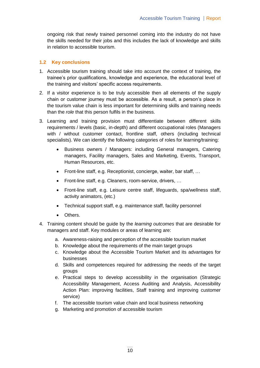ongoing risk that newly trained personnel coming into the industry do not have the skills needed for their jobs and this includes the lack of knowledge and skills in relation to accessible tourism.

#### **1.2 Key conclusions**

- 1. Accessible tourism training should take into account the context of training, the trainee's prior qualifications, knowledge and experience, the educational level of the training and visitors' specific access requirements.
- 2. If a visitor experience is to be truly accessible then all elements of the supply chain or customer journey must be accessible. As a result, a person's place in the tourism value chain is less important for determining skills and training needs than the *role* that this person fulfils in the business.
- 3. Learning and training provision must differentiate between different skills requirements / levels (basic, in-depth) and different occupational roles (Managers with / without customer contact, frontline staff, others (including technical specialists). We can identify the following categories of roles for learning/training:
	- Business owners / Managers: including General managers, Catering managers, Facility managers, Sales and Marketing, Events, Transport, Human Resources, etc.
	- Front-line staff, e.g. Receptionist, concierge, waiter, bar staff, …
	- Front-line staff, e.g. Cleaners, room-service, drivers, …
	- Front-line staff, e.g. Leisure centre staff, lifeguards, spa/wellness staff, activity animators, (etc.)
	- Technical support staff, e.g. maintenance staff, facility personnel
	- Others.
- 4. Training content should be guide by the *learning outcomes* that are desirable for managers and staff. Key modules or areas of learning are:
	- a. Awareness-raising and perception of the accessible tourism market
	- b. Knowledge about the requirements of the main target groups
	- c. Knowledge about the Accessible Tourism Market and its advantages for businesses
	- d. Skills and competences required for addressing the needs of the target groups
	- e. Practical steps to develop accessibility in the organisation (Strategic Accessibility Management, Access Auditing and Analysis, Accessibility Action Plan: improving facilities, Staff training and improving customer service)
	- f. The accessible tourism value chain and local business networking
	- g. Marketing and promotion of accessible tourism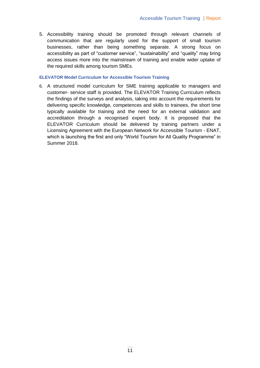5. Accessibility training should be promoted through relevant channels of communication that are regularly used for the support of small tourism businesses, rather than being something separate. A strong focus on accessibility as part of "customer service", "sustainability" and "quality" may bring access issues more into the mainstream of training and enable wider uptake of the required skills among tourism SMEs.

#### **ELEVATOR Model Curriculum for Accessible Tourism Training**

6. A structured model curriculum for SME training applicable to managers and customer- service staff is provided. The ELEVATOR Training Curriculum reflects the findings of the surveys and analysis, taking into account the requirements for delivering specific knowledge, competences and skills to trainees, the short time typically available for training and the need for an external validation and accreditation through a recognised expert body. It is proposed that the ELEVATOR Curriculum should be delivered by training partners under a Licensing Agreement with the European Network for Accessible Tourism - ENAT, which is launching the first and only "World Tourism for All Quality Programme" in Summer 2018.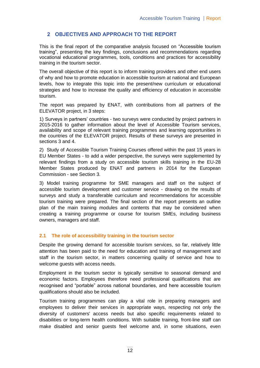## **2 OBJECTIVES AND APPROACH TO THE REPORT**

This is the final report of the comparative analysis focused on "Accessible tourism training", presenting the key findings, conclusions and recommendations regarding vocational educational programmes, tools, conditions and practices for accessibility training in the tourism sector.

The overall objective of this report is to inform training providers and other end users of why and how to promote education in accessible tourism at national and European levels, how to integrate this topic into the present/new curriculum or educational strategies and how to increase the quality and efficiency of education in accessible tourism.

The report was prepared by ENAT, with contributions from all partners of the ELEVATOR project, in 3 steps:

1) Surveys in partners' countries - two surveys were conducted by project partners in 2015-2016 to gather information about the level of Accessible Tourism services, availability and scope of relevant training programmes and learning opportunities in the countries of the ELEVATOR project. Results of these surveys are presented in sections 3 and 4.

2) Study of Accessible Tourism Training Courses offered within the past 15 years in EU Member States - to add a wider perspective, the surveys were supplemented by relevant findings from a study on accessible tourism skills training in the EU-28 Member States produced by ENAT and partners in 2014 for the European Commission - see Section 3.

3) Model training programme for SME managers and staff on the subject of accessible tourism development and customer service - drawing on the results of surveys and study a transferable curriculum and recommendations for accessible tourism training were prepared. The final section of the report presents an outline plan of the main training modules and contents that may be considered when creating a training programme or course for tourism SMEs, including business owners, managers and staff.

## **2.1 The role of accessibility training in the tourism sector**

Despite the growing demand for accessible tourism services, so far, relatively little attention has been paid to the need for education and training of management and staff in the tourism sector, in matters concerning quality of service and how to welcome guests with access needs.

Employment in the tourism sector is typically sensitive to seasonal demand and economic factors. Employees therefore need professional qualifications that are recognised and "portable" across national boundaries, and here accessible tourism qualifications should also be included.

Tourism training programmes can play a vital role in preparing managers and employees to deliver their services in appropriate ways, respecting not only the diversity of customers' access needs but also specific requirements related to disabilities or long-term health conditions. With suitable training, front-line staff can make disabled and senior guests feel welcome and, in some situations, even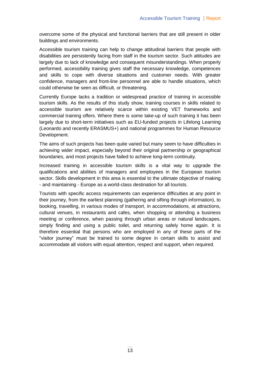overcome some of the physical and functional barriers that are still present in older buildings and environments.

Accessible tourism training can help to change attitudinal barriers that people with disabilities are persistently facing from staff in the tourism sector. Such attitudes are largely due to lack of knowledge and consequent misunderstandings. When properly performed, accessibility training gives staff the necessary knowledge, competences and skills to cope with diverse situations and customer needs. With greater confidence, managers and front-line personnel are able to handle situations, which could otherwise be seen as difficult, or threatening.

Currently Europe lacks a tradition or widespread practice of training in accessible tourism skills. As the results of this study show, training courses in skills related to accessible tourism are relatively scarce within existing VET frameworks and commercial training offers. Where there is some take-up of such training it has been largely due to short-term initiatives such as EU-funded projects in Lifelong Learning (Leonardo and recently ERASMUS+) and national programmes for Human Resource Development.

The aims of such projects has been quite varied but many seem to have difficulties in achieving wider impact, especially beyond their original partnership or geographical boundaries, and most projects have failed to achieve long-term continuity.

Increased training in accessible tourism skills is a vital way to upgrade the qualifications and abilities of managers and employees in the European tourism sector. Skills development in this area is essential to the ultimate objective of making - and maintaining - Europe as a world-class destination for all tourists.

Tourists with specific access requirements can experience difficulties at any point in their journey, from the earliest planning (gathering and sifting through information), to booking, travelling, in various modes of transport, in accommodations, at attractions, cultural venues, in restaurants and cafes, when shopping or attending a business meeting or conference, when passing through urban areas or natural landscapes, simply finding and using a public toilet, and returning safely home again. It is therefore essential that persons who are employed in any of these parts of the "visitor journey" must be trained to some degree in certain skills to assist and accommodate all visitors with equal attention, respect and support, when required.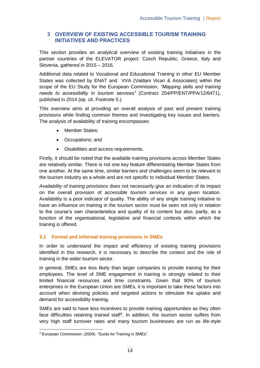## **3 OVERVIEW OF EXISTING ACCESSIBLE TOURISM TRAINING INITIATIVES AND PRACTICES**

This section provides an analytical overview of existing training initiatives in the partner countries of the ELEVATOR project: Czech Republic, Greece, Italy and Slovenia, gathered in 2015 – 2016.

Additional data related to Vocational and Educational Training in other EU Member States was collected by ENAT and VVA (Valdani Vicari & Associates) within the scope of the EU Study for the European Commission, *"Mapping skills and training needs to accessibility in tourism services"* (Contract 204/PP/ENT/PPA/12/6471), published in 2014 (op. cit. Footnote 5.).

This overview aims at providing an overall analysis of past and present training provisions while finding common themes and investigating key issues and barriers. The analysis of availability of training encompasses:

- Member States;
- Occupations; and
- Disabilities and access requirements.

Firstly, it should be noted that the available training provisions across Member States are relatively similar. There is not one key feature differentiating Member States from one another. At the same time, similar barriers and challenges seem to be relevant to the tourism industry as a whole and are not specific to individual Member States.

*Availability of training provisions* does not necessarily give an indication of its impact on the overall provision of *accessible tourism services* in any given location. Availability is a poor indicator of quality. The ability of any single training initiative to have an influence on training in the tourism sector must be seen not only in relation to the course's own characteristics and quality of its content but also, partly, as a function of the organisational, legislative and financial contexts within which the training is offered.

## **3.1 Formal and informal training provisions in SMEs**

In order to understand the impact and efficiency of existing training provisions identified in this research, it is necessary to describe the context and the role of training in the wider tourism sector.

In general, SMEs are less likely than larger companies to provide training for their employees. The level of SME engagement in training is strongly related to their limited financial resources and time constraints. Given that 90% of tourism enterprises in the European Union are SMEs, it is important to take these factors into account when devising policies and targeted actions to stimulate the uptake and demand for accessibility training.

SMEs are said to have less incentives to provide training opportunities as they often face difficulties retaining trained staff<sup>3</sup>. In addition, the tourism sector suffers from very high staff turnover rates and many tourism businesses are run as life-style

<sup>1</sup> <sup>3</sup> European Commission. (2009). "Guide for Training in SMEs".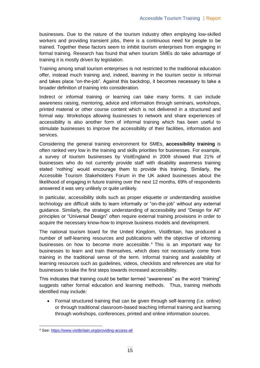businesses. Due to the nature of the tourism industry often employing low-skilled workers and providing transient jobs, there is a continuous need for people to be trained. Together these factors seem to inhibit tourism enterprises from engaging in formal training. Research has found that when tourism SMEs do take advantage of training it is mostly driven by legislation.

Training among small tourism enterprises is not restricted to the traditional education offer, instead much training and, indeed, *learning* in the tourism sector is informal and takes place "on-the-job". Against this backdrop, it becomes necessary to take a broader definition of training into consideration.

Indirect or informal training or learning can take many forms. It can include awareness raising, mentoring, advice and information through seminars, workshops, printed material or other course content which is not delivered in a structured and formal way. Workshops allowing businesses to network and share experiences of accessibility is also another form of informal training which has been useful to stimulate businesses to improve the accessibility of their facilities, information and services.

Considering the general training environment for SMEs, **accessibility training** is often ranked very low in the training and skills priorities for businesses. For example, a survey of tourism businesses by VisitEngland in 2009 showed that 21% of businesses who do not currently provide staff with disability awareness training stated 'nothing' would encourage them to provide this training. Similarly, the Accessible Tourism Stakeholders Forum in the UK asked businesses about the likelihood of engaging in future training over the next 12 months, 69% of respondents answered it was very unlikely or quite unlikely.

In particular, accessibility skills such as proper etiquette or understanding assistive technology are difficult skills to learn informally or "on-the-job" without any external guidance. Similarly, the strategic understanding of accessibility and "Design for All" principles or "Universal Design" often require external training provisions in order to acquire the necessary know-how to improve business models and development.

The national tourism board for the United Kingdom, VisitBritain, has produced a number of self-learning resources and publications with the objective of informing businesses on how to become more accessible. <sup>4</sup> This is an important way for businesses to learn and train themselves, which does not necessarily come from training in the traditional sense of the term. Informal training and availability of learning resources such as guidelines, videos, checklists and references are vital for businesses to take the first steps towards increased accessibility.

This indicates that training could be better termed "awareness" as the word "training" suggests rather formal education and learning methods. Thus, training methods identified may include:

 Formal structured training that can be given through self-learning (i.e. online) or through traditional classroom-based teaching Informal training and learning through workshops, conferences, printed and online information sources.

-

<sup>4</sup> See:<https://www.visitbritain.org/providing-access-all>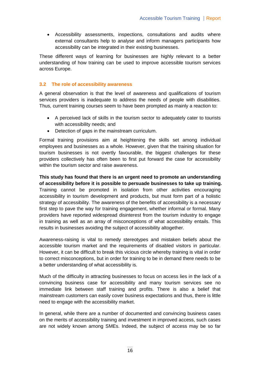Accessibility assessments, inspections, consultations and audits where external consultants help to analyse and inform managers participants how accessibility can be integrated in their existing businesses.

These different ways of learning for businesses are highly relevant to a better understanding of how training can be used to improve accessible tourism services across Europe.

#### **3.2 The role of accessibility awareness**

A general observation is that the level of awareness and qualifications of tourism services providers is inadequate to address the needs of people with disabilities. Thus, current training courses seem to have been prompted as mainly a reaction to:

- A perceived lack of skills in the tourism sector to adequately cater to tourists with accessibility needs; and
- Detection of gaps in the mainstream curriculum.

Formal training provisions aim at heightening the skills set among individual employees and businesses as a whole. However, given that the training situation for tourism businesses is not overtly favourable, the biggest challenges for these providers collectively has often been to first put forward the case for accessibility within the tourism sector and raise awareness.

**This study has found that there is an urgent need to promote an understanding of accessibility before it is possible to persuade businesses to take up training.** Training cannot be promoted in isolation from other activities encouraging accessibility in tourism development and products, but must form part of a holistic strategy of accessibility. The awareness of the benefits of accessibility is a necessary first step to pave the way for training engagement, whether informal or formal. Many providers have reported widespread disinterest from the tourism industry to engage in training as well as an array of misconceptions of what accessibility entails. This results in businesses avoiding the subject of accessibility altogether.

Awareness-raising is vital to remedy stereotypes and mistaken beliefs about the accessible tourism market and the requirements of disabled visitors in particular. However, it can be difficult to break this vicious circle whereby training is vital in order to correct misconceptions, but in order for training to be in demand there needs to be a better understanding of what accessibility is.

Much of the difficulty in attracting businesses to focus on access lies in the lack of a convincing business case for accessibility and many tourism services see no immediate link between staff training and profits. There is also a belief that mainstream customers can easily cover business expectations and thus, there is little need to engage with the accessibility market.

In general, while there are a number of documented and convincing business cases on the merits of accessibility training and investment in improved access, such cases are not widely known among SMEs. Indeed, the subject of access may be so far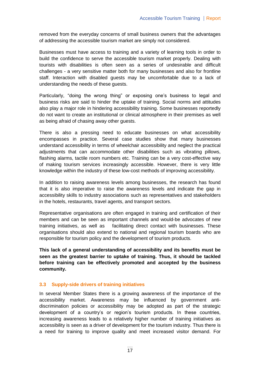removed from the everyday concerns of small business owners that the advantages of addressing the accessible tourism market are simply not considered.

Businesses must have access to training and a variety of learning tools in order to build the confidence to serve the accessible tourism market properly. Dealing with tourists with disabilities is often seen as a series of undesirable and difficult challenges - a very sensitive matter both for many businesses and also for frontline staff. Interaction with disabled guests may be uncomfortable due to a lack of understanding the needs of these guests.

Particularly, "doing the wrong thing" or exposing one's business to legal and business risks are said to hinder the uptake of training. Social norms and attitudes also play a major role in hindering accessibility training. Some businesses reportedly do not want to create an institutional or clinical atmosphere in their premises as well as being afraid of chasing away other guests.

There is also a pressing need to educate businesses on what accessibility encompasses in practice. Several case studies show that many businesses understand accessibility in terms of wheelchair accessibility and neglect the practical adjustments that can accommodate other disabilities such as vibrating pillows, flashing alarms, tactile room numbers etc. Training can be a very cost-effective way of making tourism services increasingly accessible. However, there is very little knowledge within the industry of these low-cost methods of improving accessibility.

In addition to raising awareness levels among businesses, the research has found that it is also imperative to raise the awareness levels and indicate the gap in accessibility skills to industry associations such as representatives and stakeholders in the hotels, restaurants, travel agents, and transport sectors.

Representative organisations are often engaged in training and certification of their members and can be seen as important channels and would-be advocates of new training initiatives, as well as facilitating direct contact with businesses. These organisations should also extend to national and regional tourism boards who are responsible for tourism policy and the development of tourism products.

**This lack of a general understanding of accessibility and its benefits must be seen as the greatest barrier to uptake of training. Thus, it should be tackled before training can be effectively promoted and accepted by the business community.** 

#### **3.3 Supply-side drivers of training initiatives**

In several Member States there is a growing awareness of the importance of the accessibility market. Awareness may be influenced by government antidiscrimination policies or accessibility may be adopted as part of the strategic development of a country's or region's tourism products. In these countries, increasing awareness leads to a relatively higher number of training initiatives as accessibility is seen as a driver of development for the tourism industry. Thus there is a need for training to improve quality and meet increased visitor demand. For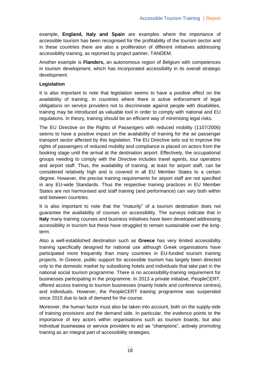example, **England, Italy and Spain** are examples where the importance of accessible tourism has been recognised for the profitability of the tourism sector and in these countries there are also a proliferation of different initiatives addressing accessibility training, as reported by project partner, TANDEM.

Another example is **Flanders,** an autonomous region of Belgium with competences in tourism development, which has incorporated accessibility in its overall strategic development.

#### **Legislation**

It is also important to note that legislation seems to have a positive effect on the availability of training. In countries where there is active enforcement of legal obligations on service providers not to discriminate against people with disabilities, training may be introduced as valuable tool in order to comply with national and EU regulations. In theory, training should be an efficient way of minimising legal risks.

The EU Directive on the Rights of Passengers with reduced mobility (1107/2006) seems to have a positive impact on the availability of training for the air passenger transport sector affected by this legislation. The EU Directive sets out to improve the rights of passengers of reduced mobility and compliance is placed on actors from the booking stage until the arrival at the destination airport. Effectively, the occupational groups needing to comply with the Directive includes travel agents, tour operators and airport staff. Thus, the availability of training, at least for airport staff, can be considered relatively high and is covered in all EU Member States to a certain degree. However, the precise training requirements for airport staff are not specified in any EU-wide Standards. Thus the respective training practices in EU Member States are not harmonised and staff training (and performance) can vary both within and between countries.

It is also important to note that the "maturity" of a tourism destination does not guarantee the availability of courses on accessibility. The surveys indicate that in **Italy** many training courses and business initiatives have been developed addressing accessibility in tourism but these have struggled to remain sustainable over the longterm.

Also a well-established destination such as **Greece** has very limited accessibility training specifically designed for national use although Greek organisations have participated more frequently than many countries in EU-funded tourism training projects. In Greece, public support for accessible tourism has largely been directed only to the domestic market by subsidising hotels and individuals that take part in the national social tourism programme. There is no accessibility-training requirement for businesses participating in the programme. In 2013 a private initiative, PeopleCERT, offered access training to tourism businesses (mainly hotels and conference centres), and individuals. However, the PeopleCERT training programme was suspended since 2015 due to lack of demand for the course.

Moreover, the human factor must also be taken into account, both on the supply-side of training provisions and the demand side. In particular, the evidence points to the importance of key actors within organisations such as tourism boards, but also individual businesses or service providers to act as "champions", actively promoting training as an integral part of accessibility strategies.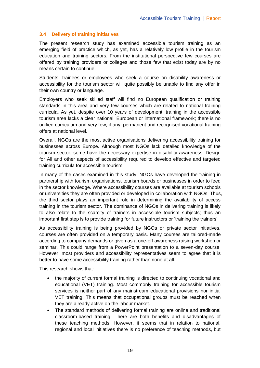## **3.4 Delivery of training initiatives**

The present research study has examined accessible tourism training as an emerging field of practice which, as yet, has a relatively low profile in the tourism education and training sectors. From the institutional perspective few courses are offered by training providers or colleges and those few that exist today are by no means certain to continue.

Students, trainees or employees who seek a course on disability awareness or accessibility for the tourism sector will quite possibly be unable to find any offer in their own country or language.

Employers who seek skilled staff will find no European qualification or training standards in this area and very few courses which are related to national training curricula. As yet, despite over 10 years of development, training in the accessible tourism area lacks a clear national, European or international framework; there is no unified curriculum and very few, if any, permanent and recognised vocational training offers at national level.

Overall, NGOs are the most active organisations delivering accessibility training for businesses across Europe. Although most NGOs lack detailed knowledge of the tourism sector, some have the necessary expertise in disability awareness, Design for All and other aspects of accessibility required to develop effective and targeted training curricula for accessible tourism.

In many of the cases examined in this study, NGOs have developed the training in partnership with tourism organisations, tourism boards or businesses in order to feed in the sector knowledge. Where accessibility courses are available at tourism schools or universities they are often provided or developed in collaboration with NGOs. Thus, the third sector plays an important role in determining the availability of access training in the tourism sector. The dominance of NGOs in delivering training is likely to also relate to the scarcity of trainers in accessible tourism subjects; thus an important first step is to provide training for future instructors or 'training the trainers'.

As accessibility training is being provided by NGOs or private sector initiatives, courses are often provided on a temporary basis. Many courses are tailored-made according to company demands or given as a one-off awareness raising workshop or seminar. This could range from a PowerPoint presentation to a seven-day course. However, most providers and accessibility representatives seem to agree that it is better to have some accessibility training rather than none at all.

This research shows that:

- the majority of current formal training is directed to continuing vocational and educational (VET) training. Most commonly training for accessible tourism services is neither part of any mainstream educational provisions nor initial VET training. This means that occupational groups must be reached when they are already active on the labour market.
- The standard methods of delivering formal training are online and traditional classroom-based training. There are both benefits and disadvantages of these teaching methods. However, it seems that in relation to national, regional and local initiatives there is no preference of teaching methods, but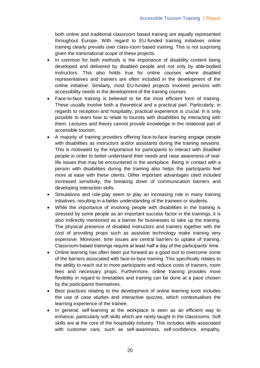both online and traditional classroom based training are equally represented throughout Europe. With regard to EU-funded training initiatives online training clearly prevails over class-room based training. This is not surprising given the transnational scope of these projects.

- In common for both methods is the importance of disability content being developed and delivered by disabled people and not only by able-bodied instructors. This also holds true for online courses where disabled representatives and trainers are often included in the development of the online initiative. Similarly, most EU-funded projects involved persons with accessibility needs in the development of the training courses.
- Face-to-face training is believed to be the most efficient form of training. These usually involve both a theoretical and a practical part. Particularly, in regards to reception and hospitality, practical experience is crucial. It is only possible to learn how to relate to tourists with disabilities by interacting with them. Lectures and theory cannot provide knowledge in the relational part of accessible tourism.
- A majority of training providers offering face-to-face learning engage people with disabilities as instructors and/or assistants during the training sessions. This is motivated by the importance for participants to interact with disabled people in order to better understand their needs and raise awareness of reallife issues that may be encountered in the workplace. Being in contact with a person with disabilities during the training also helps the participants feel more at ease with these clients. Other important advantages cited included increased sensitivity, the breaking down of communication barriers and developing interaction skills.
- Simulations and role-play seem to play an increasing role in many training initiatives, resulting in a better understanding of the trainees or students.
- While the importance of involving people with disabilities in the training is stressed by some people as an important success factor in the trainings, it is also indirectly mentioned as a barrier for businesses to take up the training. The physical presence of disabled instructors and trainers together with the cost of providing props such as assistive technology make training very expensive. Moreover, time issues are central barriers to uptake of training. Classroom-based trainings require at least half a day of the participants' time.
- Online learning has often been put forward as a good tool to overcome some of the barriers associated with face-to-face training. This specifically relates to the ability to reach out to more participants and reduce costs of trainers, room fees and necessary props. Furthermore, online training provides more flexibility in regard to timetables and training can be done at a pace chosen by the participants themselves.
- Best practices relating to the development of online learning tools includes the use of case studies and interactive quizzes, which contextualises the learning experience of the trainee.
- In general, self-learning at the workplace is seen as an efficient way to enhance, particularly soft skills which are rarely taught in the classrooms. Soft skills are at the core of the hospitality industry. This includes skills associated with customer care, such as self-awareness, self-confidence, empathy,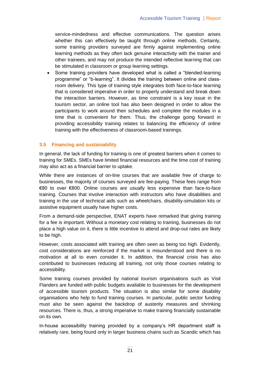service-mindedness and effective communications. The question arises whether this can effectively be taught through online methods. Certainly, some training providers surveyed are firmly against implementing online learning methods as they often lack genuine interactivity with the trainer and other trainees, and may not produce the intended reflective learning that can be stimulated in classroom or group learning settings.

 Some training providers have developed what is called a "blended-learning programme" or "b-learning". It divides the training between online and classroom delivery. This type of training style integrates both face-to-face learning that is considered imperative in order to properly understand and break down the interaction barriers. However, as time constraint is a key issue in the tourism sector, an online tool has also been designed in order to allow the participants to work around their schedules and complete the modules in a time that is convenient for them. Thus, the challenge going forward in providing accessibility training relates to balancing the efficiency of online training with the effectiveness of classroom-based trainings.

#### **3.5 Financing and sustainability**

In general, the lack of funding for training is one of greatest barriers when it comes to training for SMEs. SMEs have limited financial resources and the time cost of training may also act as a financial barrier to uptake.

While there are instances of on-line courses that are available free of charge to businesses, the majority of courses surveyed are fee-paying. These fees range from €80 to over €800. Online courses are usually less expensive than face-to-face training. Courses that involve interaction with instructors who have disabilities and training in the use of technical aids such as wheelchairs, disability-simulation kits or assistive equipment usually have higher costs.

From a demand-side perspective, ENAT experts have remarked that giving training for a fee is important. Without a monetary cost relating to training, businesses do not place a high value on it, there is little incentive to attend and drop-out rates are likely to be high.

However, costs associated with training are often seen as being too high. Evidently, cost considerations are reinforced if the market is misunderstood and there is no motivation at all to even consider it. In addition, the financial crisis has also contributed to businesses reducing all training, not only those courses relating to accessibility.

Some training courses provided by national tourism organisations such as Visit Flanders are funded with public budgets available to businesses for the development of accessible tourism products. The situation is also similar for some disability organisations who help to fund training courses. In particular, public sector funding must also be seen against the backdrop of austerity measures and shrinking resources. There is, thus, a strong imperative to make training financially sustainable on its own.

In-house accessibility training provided by a company's HR department staff is relatively rare, being found only in larger business chains such as Scandic which has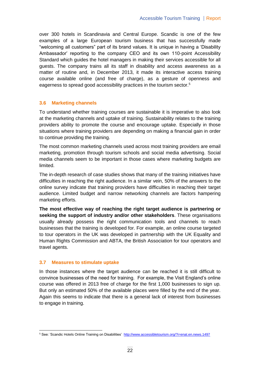over 300 hotels in Scandinavia and Central Europe. Scandic is one of the few examples of a large European tourism business that has successfully made "welcoming all customers" part of its brand values. It is unique in having a 'Disability Ambassador' reporting to the company CEO and its own 110-point Accessibility Standard which guides the hotel managers in making their services accessible for all guests. The company trains all its staff in disability and access awareness as a matter of routine and, in December 2013, it made its interactive access training course available online (and free of charge), as a gesture of openness and eagerness to spread good accessibility practices in the tourism sector.<sup>5</sup>

#### **3.6 Marketing channels**

To understand whether training courses are sustainable it is imperative to also look at the marketing channels and uptake of training. Sustainability relates to the training providers ability to promote the course and encourage uptake. Especially in those situations where training providers are depending on making a financial gain in order to continue providing the training.

The most common marketing channels used across most training providers are email marketing, promotion through tourism schools and social media advertising. Social media channels seem to be important in those cases where marketing budgets are limited.

The in-depth research of case studies shows that many of the training initiatives have difficulties in reaching the right audience. In a similar vein, 50% of the answers to the online survey indicate that training providers have difficulties in reaching their target audience. Limited budget and narrow networking channels are factors hampering marketing efforts.

**The most effective way of reaching the right target audience is partnering or seeking the support of industry and/or other stakeholders**. These organisations usually already possess the right communication tools and channels to reach businesses that the training is developed for. For example, an online course targeted to tour operators in the UK was developed in partnership with the UK Equality and Human Rights Commission and ABTA, the British Association for tour operators and travel agents.

## **3.7 Measures to stimulate uptake**

In those instances where the target audience can be reached it is still difficult to convince businesses of the need for training. For example, the Visit England's online course was offered in 2013 free of charge for the first 1,000 businesses to sign up. But only an estimated 50% of the available places were filled by the end of the year. Again this seems to indicate that there is a general lack of interest from businesses to engage in training.

 5 See: 'Scandic Hotels Online Training on Disabilities' <http://www.accessibletourism.org/?i=enat.en.news.1497>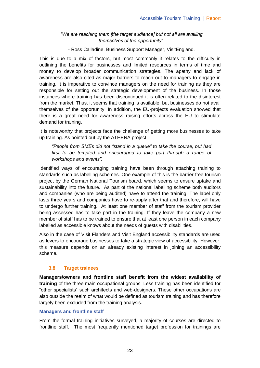## *"We are reaching them [the target audience] but not all are availing themselves of the opportunity".*

- Ross Calladine, Business Support Manager, VisitEngland.

This is due to a mix of factors, but most commonly it relates to the difficulty in outlining the benefits for businesses and limited resources in terms of time and money to develop broader communication strategies. The apathy and lack of awareness are also cited as major barriers to reach out to managers to engage in training. It is imperative to convince managers on the need for training as they are responsible for setting out the strategic development of the business. In those instances where training has been discontinued it is often related to the disinterest from the market. Thus, it seems that training is available, but businesses do not avail themselves of the opportunity. In addition, the EU-projects evaluation showed that there is a great need for awareness raising efforts across the EU to stimulate demand for training.

It is noteworthy that projects face the challenge of getting more businesses to take up training. As pointed out by the ATHENA project:

*"People from SMEs did not "stand in a queue" to take the course, but had first to be tempted and encouraged to take part through a range of workshops and events".*

Identified ways of encouraging training have been through attaching training to standards such as labelling schemes. One example of this is the barrier-free tourism project by the German National Tourism board, which seems to ensure uptake and sustainability into the future. As part of the national labelling scheme both auditors and companies (who are being audited) have to attend the training. The label only lasts three years and companies have to re-apply after that and therefore, will have to undergo further training. At least one member of staff from the tourism provider being assessed has to take part in the training. If they leave the company a new member of staff has to be trained to ensure that at least one person in each company labelled as accessible knows about the needs of guests with disabilities.

Also in the case of Visit Flanders and Visit England accessibility standards are used as levers to encourage businesses to take a strategic view of accessibility. However, this measure depends on an already existing interest in joining an accessibility scheme.

## **3.8 Target trainees**

**Managers/owners and frontline staff benefit from the widest availability of training** of the three main occupational groups. Less training has been identified for "other specialists" such architects and web-designers. These other occupations are also outside the realm of what would be defined as tourism training and has therefore largely been excluded from the training analysis.

#### **Managers and frontline staff**

From the formal training initiatives surveyed, a majority of courses are directed to frontline staff. The most frequently mentioned target profession for trainings are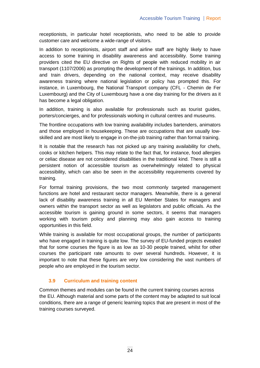receptionists, in particular hotel receptionists, who need to be able to provide customer care and welcome a wide-range of visitors.

In addition to receptionists, airport staff and airline staff are highly likely to have access to some training in disability awareness and accessibility. Some training providers cited the EU directive on Rights of people with reduced mobility in air transport (1107/2006) as prompting the development of the trainings. In addition, bus and train drivers, depending on the national context, may receive disability awareness training where national legislation or policy has prompted this. For instance, in Luxembourg, the National Transport company (CFL - Chemin de Fer Luxembourg) and the City of Luxembourg have a one day training for the drivers as it has become a legal obligation.

In addition, training is also available for professionals such as tourist guides, porters/concierges, and for professionals working in cultural centres and museums.

The frontline occupations with low training availability includes bartenders, animators and those employed in housekeeping. These are occupations that are usually lowskilled and are most likely to engage in on-the-job training rather than formal training.

It is notable that the research has not picked up any training availability for chefs, cooks or kitchen helpers. This may relate to the fact that, for instance, food allergies or celiac disease are not considered disabilities in the traditional kind. There is still a persistent notion of accessible tourism as overwhelmingly related to physical accessibility, which can also be seen in the accessibility requirements covered by training.

For formal training provisions, the two most commonly targeted management functions are hotel and restaurant sector managers. Meanwhile, there is a general lack of disability awareness training in all EU Member States for managers and owners within the transport sector as well as legislators and public officials. As the accessible tourism is gaining ground in some sectors, it seems that managers working with tourism policy and planning may also gain access to training opportunities in this field.

While training is available for most occupational groups, the number of participants who have engaged in training is quite low. The survey of EU-funded projects evealed that for some courses the figure is as low as 10-30 people trained, whilst for other courses the participant rate amounts to over several hundreds. However, it is important to note that these figures are very low considering the vast numbers of people who are employed in the tourism sector.

## **3.9 Curriculum and training content**

Common themes and modules can be found in the current training courses across the EU. Although material and some parts of the content may be adapted to suit local conditions, there are a range of generic learning topics that are present in most of the training courses surveyed.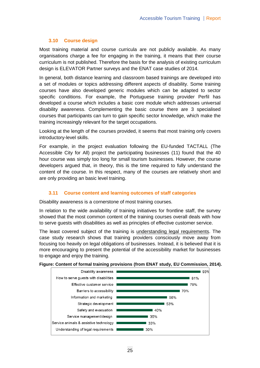## **3.10 Course design**

Most training material and course curricula are not publicly available. As many organisations charge a fee for engaging in the training, it means that their course curriculum is not published. Therefore the basis for the analysis of existing curriculum design is ELEVATOR Partner surveys and the ENAT case studies of 2014.

In general, both distance learning and classroom based trainings are developed into a set of modules or topics addressing different aspects of disability. Some training courses have also developed generic modules which can be adapted to sector specific conditions. For example, the Portuguese training provider Perfil has developed a course which includes a basic core module which addresses universal disability awareness. Complementing the basic course there are 3 specialised courses that participants can turn to gain specific sector knowledge, which make the training increasingly relevant for the target occupations.

Looking at the length of the courses provided, it seems that most training only covers introductory-level skills.

For example, in the project evaluation following the EU-funded TACTALL (The Accessible City for All) project the participating businesses (11) found that the 40 hour course was simply too long for small tourism businesses. However, the course developers argued that, in theory, this is the time required to fully understand the content of the course. In this respect, many of the courses are relatively short and are only providing an basic level training.

## **3.11 Course content and learning outcomes of staff categories**

Disability awareness is a cornerstone of most training courses.

In relation to the wide availability of training initiatives for frontline staff, the survey showed that the most common content of the training courses overall deals with how to serve guests with disabilities as well as principles of effective customer service.

The least covered subject of the training is understanding legal requirements. The case study research shows that training providers consciously move away from focusing too heavily on legal obligations of businesses. Instead, it is believed that it is more encouraging to present the potential of the accessibility market for businesses to engage and enjoy the training.



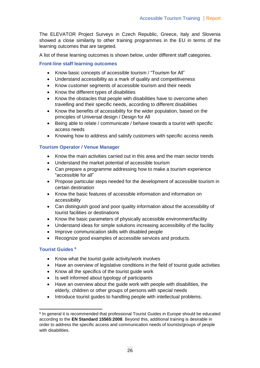The ELEVATOR Project Surveys in Czech Republic, Greece, Italy and Slovenia showed a close similarity to other training programmes in the EU in terms of the learning outcomes that are targeted.

A list of these learning outcomes is shown below, under different staff categories.

### **Front-line staff learning outcomes**

- Know basic concepts of accessible tourism / "Tourism for All"
- Understand accessibility as a mark of quality and competitiveness
- Know customer segments of accessible tourism and their needs
- Know the different types of disabilities
- Know the obstacles that people with disabilities have to overcome when travelling and their specific needs, according to different disabilities
- Know the benefits of accessibility for the wider population, based on the principles of Universal design / Design for All
- Being able to relate / communicate / behave towards a tourist with specific access needs
- Knowing how to address and satisfy customers with specific access needs

## **Tourism Operator / Venue Manager**

- Know the main activities carried out in this area and the main sector trends
- Understand the market potential of accessible tourism
- Can prepare a programme addressing how to make a tourism experience "accessible for all"
- Propose particular steps needed for the development of accessible tourism in certain destination
- Know the basic features of accessible information and information on accessibility
- Can distinguish good and poor quality information about the accessibility of tourist facilities or destinations
- Know the basic parameters of physically accessible environment/facility
- Understand ideas for simple solutions increasing accessibility of the facility
- Improve communication skills with disabled people
- Recognize good examples of accessible services and products.

### **Tourist Guides <sup>6</sup>**

- Know what the tourist quide activity/work involves
- Have an overview of legislative conditions in the field of tourist guide activities
- Know all the specifics of the tourist quide work
- Is well informed about typology of participants
- Have an overview about the guide work with people with disabilities, the elderly, children or other groups of persons with special needs
- Introduce tourist guides to handling people with intellectual problems.

 <sup>6</sup> In general it is recommended that professional Tourist Guides in Europe should be educated according to the **EN Standard 15565:2008**. Beyond this, additional training is desirable in order to address the specific access and communication needs of tourists/groups of people with disabilities.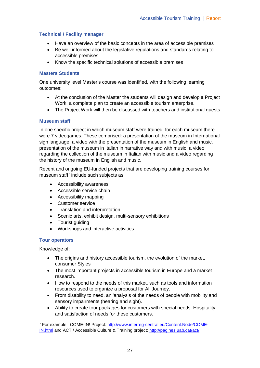## **Technical / Facility manager**

- Have an overview of the basic concepts in the area of accessible premises
- Be well informed about the legislative regulations and standards relating to accessible premises
- Know the specific technical solutions of accessible premises

### **Masters Students**

One university level Master's course was identified, with the following learning outcomes:

- At the conclusion of the Master the students will design and develop a Project Work, a complete plan to create an accessible tourism enterprise.
- The Project Work will then be discussed with teachers and institutional guests

## **Museum staff**

In one specific project in which museum staff were trained, for each museum there were 7 videogames. These comprised: a presentation of the museum in International sign language, a video with the presentation of the museum in English and music, presentation of the museum in Italian in narrative way and with music, a video regarding the collection of the museum in Italian with music and a video regarding the history of the museum in English and music.

Recent and ongoing EU-funded projects that are developing training courses for museum staff<sup>7</sup> include such subjects as:

- Accessibility awareness
- Accessible service chain
- Accessibility mapping
- Customer service
- Translation and interpretation
- Scenic arts, exhibit design, multi-sensory exhibitions
- Tourist guiding
- Workshops and interactive activities.

#### **Tour operators**

Knowledge of:

- The origins and history accessible tourism, the evolution of the market, consumer Styles
- The most important projects in accessible tourism in Europe and a market research.
- How to respond to the needs of this market, such as tools and information resources used to organize a proposal for All Journey.
- From disability to need, an 'analysis of the needs of people with mobility and sensory impairments (hearing and sight).
- Ability to create tour packages for customers with special needs. Hospitality and satisfaction of needs for these customers.

 <sup>7</sup> For example, COME-IN! Project: [http://www.interreg-central.eu/Content.Node/COME-](http://www.interreg-central.eu/Content.Node/COME-IN.html)[IN.html](http://www.interreg-central.eu/Content.Node/COME-IN.html) and ACT / Accessible Culture & Training project:<http://pagines.uab.cat/act/>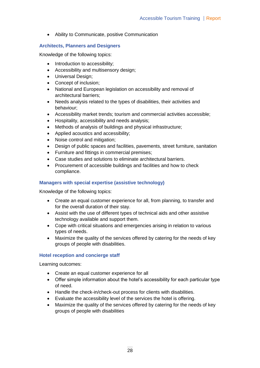Ability to Communicate, positive Communication

## **Architects, Planners and Designers**

Knowledge of the following topics:

- Introduction to accessibility;
- Accessibility and multisensory design;
- Universal Design;
- Concept of inclusion;
- National and European legislation on accessibility and removal of architectural barriers;
- Needs analysis related to the types of disabilities, their activities and behaviour;
- Accessibility market trends; tourism and commercial activities accessible;
- Hospitality, accessibility and needs analysis;
- Methods of analysis of buildings and physical infrastructure;
- Applied acoustics and accessibility;
- Noise control and mitigation;
- Design of public spaces and facilities, pavements, street furniture, sanitation
- Furniture and fittings in commercial premises;
- Case studies and solutions to eliminate architectural barriers.
- Procurement of accessible buildings and facilities and how to check compliance.

## **Managers with special expertise (assistive technology)**

Knowledge of the following topics:

- Create an equal customer experience for all, from planning, to transfer and for the overall duration of their stay.
- Assist with the use of different types of technical aids and other assistive technology available and support them.
- Cope with critical situations and emergencies arising in relation to various types of needs.
- Maximize the quality of the services offered by catering for the needs of key groups of people with disabilities.

#### **Hotel reception and concierge staff**

Learning outcomes:

- Create an equal customer experience for all
- Offer simple information about the hotel's accessibility for each particular type of need.
- Handle the check-in/check-out process for clients with disabilities.
- Evaluate the accessibility level of the services the hotel is offering.
- Maximize the quality of the services offered by catering for the needs of key groups of people with disabilities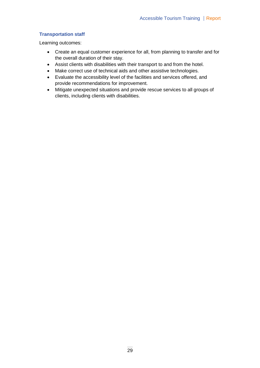## **Transportation staff**

Learning outcomes:

- Create an equal customer experience for all, from planning to transfer and for the overall duration of their stay.
- Assist clients with disabilities with their transport to and from the hotel.
- Make correct use of technical aids and other assistive technologies.
- Evaluate the accessibility level of the facilities and services offered, and provide recommendations for improvement.
- Mitigate unexpected situations and provide rescue services to all groups of clients, including clients with disabilities.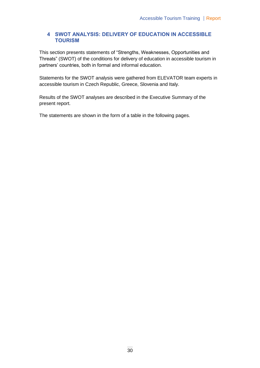## **4 SWOT ANALYSIS: DELIVERY OF EDUCATION IN ACCESSIBLE TOURISM**

This section presents statements of "Strengths, Weaknesses, Opportunities and Threats" (SWOT) of the conditions for delivery of education in accessible tourism in partners' countries, both in formal and informal education.

Statements for the SWOT analysis were gathered from ELEVATOR team experts in accessible tourism in Czech Republic, Greece, Slovenia and Italy.

Results of the SWOT analyses are described in the Executive Summary of the present report.

The statements are shown in the form of a table in the following pages.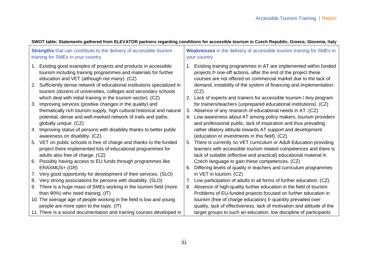| <b>Strengths</b> that can contribute to the delivery of accessible tourism<br>training for SMEs in your country                                                                       | Weaknesses in the delivery of accessible tourism training for SMEs in<br>your country                                                                                                                           |  |  |
|---------------------------------------------------------------------------------------------------------------------------------------------------------------------------------------|-----------------------------------------------------------------------------------------------------------------------------------------------------------------------------------------------------------------|--|--|
| Existing good examples of projects and products in accessible<br>1.<br>tourism including training programmes and materials for further<br>education and VET (although not many). (CZ) | 1. Existing training programmes in AT are implemented within funded<br>projects <b>b</b> one-off actions, after the end of the project these<br>courses are not offered on commercial market due to the lack of |  |  |
| Sufficiently dense network of educational institutions specialized in<br>2.<br>tourism (dozens of universities, colleges and secondary schools                                        | demand, instability of the system of financing and implementation.<br>(CZ)                                                                                                                                      |  |  |
| which deal with initial training in the tourism sector). (CZ)<br>Improving services (positive changes in the quality) and<br>3.                                                       | Lack of experts and trainers for accessible tourism / Any program<br>2.<br>for trainers/teachers (unprepared educational institutions). (CZ)                                                                    |  |  |
| thematically rich tourism supply, high cultural-historical and natural                                                                                                                | Absence of any research of educational needs in AT. (CZ)<br>3.                                                                                                                                                  |  |  |
| potential, dense and well-marked network of trails and paths,                                                                                                                         | Low awareness about AT among policy makers, tourism providers<br>4.                                                                                                                                             |  |  |
| globally unique. (CZ)                                                                                                                                                                 | and professional public, lack of inspiration and thus prevailing                                                                                                                                                |  |  |
| Improving status of persons with disability thanks to better public<br>4.<br>awareness on disability. (CZ)                                                                            | rather dilatory attitude towards AT support and development<br>(education or investments in this field). (CZ)                                                                                                   |  |  |
| VET on public schools is free of charge and thanks to the funded<br>5.                                                                                                                | There is currently no VET curriculum or Adult Education providing<br>5.                                                                                                                                         |  |  |
| project there implemented lots of educational programmes for                                                                                                                          | learners with accessible tourism related competences and there is                                                                                                                                               |  |  |
| adults also free of charge. (CZ)                                                                                                                                                      | lack of suitable (effective and practical) educational material in                                                                                                                                              |  |  |
| Possibly having access to EU funds through programmes like<br>6.                                                                                                                      | Czech language to gain these competences. (CZ)                                                                                                                                                                  |  |  |
| ERASMUS+ (GR)                                                                                                                                                                         | Differing levels of quality in teachers and curriculum programmes<br>6.                                                                                                                                         |  |  |
| Very good opportunity for development of their services. (SLO)<br>7.                                                                                                                  | in VET in tourism. (CZ)                                                                                                                                                                                         |  |  |
| Very strong associations for persons with disability. (SLO)<br>8.                                                                                                                     | Low participation of adults in all forms of further education. (CZ)<br>7.                                                                                                                                       |  |  |
| There is a huge mass of SMEs working in the tourism field (more<br>9.                                                                                                                 | Absence of high-quality further education in the field of tourism.<br>8.                                                                                                                                        |  |  |
| than 90%) who need training. (IT)                                                                                                                                                     | Problems of EU-funded projects focused on further education in                                                                                                                                                  |  |  |
| 10. The average age of people working in the field is low and young                                                                                                                   | tourism (free of charge education) b quantity prevailed over                                                                                                                                                    |  |  |
| people are more open to the topic. (IT)                                                                                                                                               | quality, lack of effectiveness, lack of motivation and attitude of the                                                                                                                                          |  |  |
| 11. There is a sound documentation and training courses developed in                                                                                                                  | target groups to such an education, low discipline of participants                                                                                                                                              |  |  |

## **SWOT table: Statements gathered from ELEVATOR partners regarding conditions for accessible tourism in Czech Republic, Greece, Slovenia, Italy**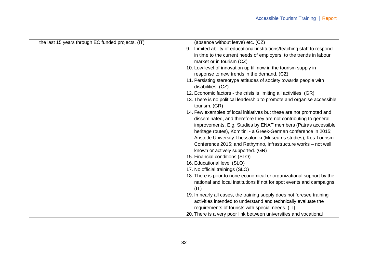| the last 15 years through EC funded projects. (IT) | (absence without leave) etc. (CZ)                                                        |
|----------------------------------------------------|------------------------------------------------------------------------------------------|
|                                                    | 9. Limited ability of educational institutions/teaching staff to respond                 |
|                                                    | in time to the current needs of employers, to the trends in labour                       |
|                                                    | market or in tourism (CZ)                                                                |
|                                                    | 10. Low level of innovation up till now in the tourism supply in                         |
|                                                    | response to new trends in the demand. (CZ)                                               |
|                                                    | 11. Persisting stereotype attitudes of society towards people with<br>disabilities. (CZ) |
|                                                    | 12. Economic factors - the crisis is limiting all activities. (GR)                       |
|                                                    | 13. There is no political leadership to promote and organise accessible<br>tourism. (GR) |
|                                                    | 14. Few examples of local initiatives but these are not promoted and                     |
|                                                    | disseminated, and therefore they are not contributing to general                         |
|                                                    | improvements. E.g. Studies by ENAT members (Patras accessible                            |
|                                                    | heritage routes), Komitini - a Greek-German conference in 2015;                          |
|                                                    | Aristotle University Thessaloniki (Museums studies), Kos Tourism                         |
|                                                    | Conference 2015; and Rethymno, infrastructure works - not well                           |
|                                                    | known or actively supported. (GR)                                                        |
|                                                    | 15. Financial conditions (SLO)                                                           |
|                                                    | 16. Educational level (SLO)                                                              |
|                                                    | 17. No official trainings (SLO)                                                          |
|                                                    | 18. There is poor to none economical or organizational support by the                    |
|                                                    | national and local institutions if not for spot events and campaigns.                    |
|                                                    | (IT)                                                                                     |
|                                                    | 19. In nearly all cases, the training supply does not foresee training                   |
|                                                    | activities intended to understand and technically evaluate the                           |
|                                                    | requirements of tourists with special needs. (IT)                                        |
|                                                    | 20. There is a very poor link between universities and vocational                        |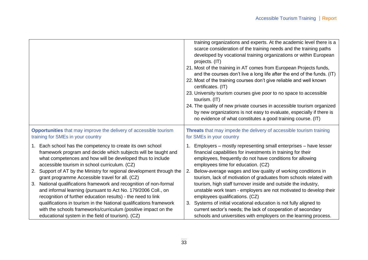|                                                                                                                                                                                                        | training organizations and experts. At the academic level there is a<br>scarce consideration of the training needs and the training paths<br>developed by vocational training organizations or within European<br>projects. (IT)<br>21. Most of the training in AT comes from European Projects funds,<br>and the courses don't live a long life after the end of the funds. (IT)<br>22. Most of the training courses don't give reliable and well known<br>certificates. (IT)<br>23. University tourism courses give poor to no space to accessible<br>tourism. (IT)<br>24. The quality of new private courses in accessible tourism organized<br>by new organizations is not easy to evaluate, especially if there is<br>no evidence of what constitutes a good training course. (IT) |  |  |
|--------------------------------------------------------------------------------------------------------------------------------------------------------------------------------------------------------|-----------------------------------------------------------------------------------------------------------------------------------------------------------------------------------------------------------------------------------------------------------------------------------------------------------------------------------------------------------------------------------------------------------------------------------------------------------------------------------------------------------------------------------------------------------------------------------------------------------------------------------------------------------------------------------------------------------------------------------------------------------------------------------------|--|--|
| <b>Opportunities</b> that may improve the delivery of accessible tourism                                                                                                                               | Threats that may impede the delivery of accessible tourism training                                                                                                                                                                                                                                                                                                                                                                                                                                                                                                                                                                                                                                                                                                                     |  |  |
| training for SMEs in your country                                                                                                                                                                      | for SMEs in your country                                                                                                                                                                                                                                                                                                                                                                                                                                                                                                                                                                                                                                                                                                                                                                |  |  |
| 1. Each school has the competency to create its own school                                                                                                                                             | Employers - mostly representing small enterprises - have lesser                                                                                                                                                                                                                                                                                                                                                                                                                                                                                                                                                                                                                                                                                                                         |  |  |
| framework program and decide which subjects will be taught and                                                                                                                                         | financial capabilities for investments in training for their                                                                                                                                                                                                                                                                                                                                                                                                                                                                                                                                                                                                                                                                                                                            |  |  |
| what competences and how will be developed thus to include                                                                                                                                             | employees, frequently do not have conditions for allowing                                                                                                                                                                                                                                                                                                                                                                                                                                                                                                                                                                                                                                                                                                                               |  |  |
| accessible tourism in school curriculum. (CZ)                                                                                                                                                          | employees time for education. (CZ)                                                                                                                                                                                                                                                                                                                                                                                                                                                                                                                                                                                                                                                                                                                                                      |  |  |
| Support of AT by the Ministry for regional development through the                                                                                                                                     | Below-average wages and low quality of working conditions in                                                                                                                                                                                                                                                                                                                                                                                                                                                                                                                                                                                                                                                                                                                            |  |  |
| 2.                                                                                                                                                                                                     | 2.                                                                                                                                                                                                                                                                                                                                                                                                                                                                                                                                                                                                                                                                                                                                                                                      |  |  |
| grant programme Accessible travel for all. (CZ)                                                                                                                                                        | tourism, lack of motivation of graduates from schools related with                                                                                                                                                                                                                                                                                                                                                                                                                                                                                                                                                                                                                                                                                                                      |  |  |
| National qualifications framework and recognition of non-formal<br>3.<br>and informal learning (pursuant to Act No. 179/2006 Coll., on<br>recognition of further education results) - the need to link | tourism, high staff turnover inside and outside the industry,<br>unstable work team - employers are not motivated to develop their<br>employees qualifications. (CZ)                                                                                                                                                                                                                                                                                                                                                                                                                                                                                                                                                                                                                    |  |  |
| qualifications in tourism in the National qualifications framework<br>with the schools frameworks/curriculum (positive impact on the<br>educational system in the field of tourism). (CZ)              | Systems of initial vocational education is not fully aligned to<br>3.<br>current sector's needs; the lack of cooperation of secondary<br>schools and universities with employers on the learning process.                                                                                                                                                                                                                                                                                                                                                                                                                                                                                                                                                                               |  |  |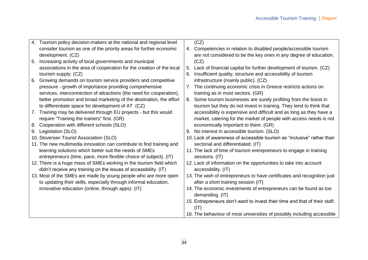| 4. | Tourism policy decision-makers at the national and regional level                                                                   |             | (CZ)                                                                                                           |
|----|-------------------------------------------------------------------------------------------------------------------------------------|-------------|----------------------------------------------------------------------------------------------------------------|
|    | consider tourism as one of the priority areas for further economic                                                                  |             | 4. Competencies in relation to disabled people/accessible tourism                                              |
|    | development. (CZ)                                                                                                                   |             | are not considered to be the key ones in any degree of education.                                              |
| 5. | Increasing activity of local governments and municipal                                                                              |             | (CZ)                                                                                                           |
|    | associations in the area of cooperation for the creation of the local                                                               | 5.          | Lack of financial capital for further development of tourism. (CZ)                                             |
|    | tourism supply. (CZ)                                                                                                                | 6.          | Insufficient quality, structure and accessibility of tourism                                                   |
| 6. | Growing demands on tourism service providers and competitive                                                                        |             | infrastructure (mainly public). (CZ)                                                                           |
|    | pressure - growth of importance providing comprehensive                                                                             | $7_{\cdot}$ | The continuing economic crisis in Greece restricts actions on                                                  |
|    | services, interconnection of attractions (the need for cooperation),                                                                |             | training as in most sectors. (GR)                                                                              |
|    | better promotion and broad marketing of the destination, the effort                                                                 | 8.          | Some tourism businesses are surely profiting from the boost in                                                 |
|    | to differentiate space for development of AT (CZ)                                                                                   |             | tourism but they do not invest in training. They tend to think that                                            |
| 7. | Training may be delivered through EU projects - but this would                                                                      |             | accessibility is expensive and difficult and as long as they have a                                            |
|    | require "Training the trainers" first. (GR)                                                                                         |             | market, catering for the market of people with access needs is not                                             |
| 8. | Cooperation with different schools (SLO)                                                                                            |             | economically important to them. (GR)                                                                           |
| 9. | Legislation (SLO)                                                                                                                   |             | 9. No interest in accessible tourism. (SLO)                                                                    |
|    | 10. Slovenian Tourist Association (SLO)                                                                                             |             | 10. Lack of awareness of accessible tourism as "inclusive" rather than                                         |
|    | 11. The new multimedia innovation can contribute to find training and                                                               |             | sectorial and differentiated. (IT)                                                                             |
|    | learning solutions which better suit the needs of SMEs                                                                              |             | 11. The lack of time of tourism entrepreneurs to engage in training                                            |
|    | entrepreneurs (time, pace, more flexible choice of subject). (IT)                                                                   |             | sessions. (IT)                                                                                                 |
|    | 12. There is a huge mass of SMEs working in the tourism field which                                                                 |             | 12. Lack of information on the opportunities to take into account                                              |
|    | didn't receive any training on the issues of accessibility. (IT)                                                                    |             | accessibility. (IT)                                                                                            |
|    | 13. Most of the SMEs are made by young people who are more open<br>to updating their skills, especially through informal education, |             | 13. The wish of entrepreneurs to have certificates and recognition just<br>after a short training session (IT) |
|    | innovative education (online, through apps). (IT)                                                                                   |             | 14. The economic investments of entrepreneurs can be found as too<br>demanding. (IT)                           |
|    |                                                                                                                                     |             |                                                                                                                |
|    |                                                                                                                                     |             | 15. Entrepreneurs don't want to invest their time and that of their staff.                                     |
|    |                                                                                                                                     |             | (IT)                                                                                                           |
|    |                                                                                                                                     |             | 16. The behaviour of most universities of possibly including accessible                                        |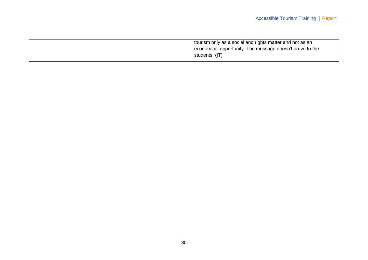| tourism only as a social and rights matter and not as an  |
|-----------------------------------------------------------|
| economical opportunity. The message doesn't arrive to the |
| students. (IT)                                            |
|                                                           |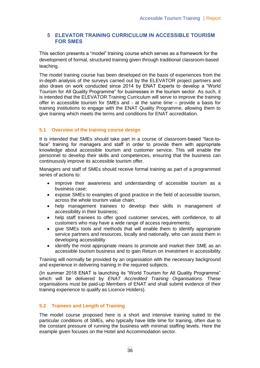## **5 ELEVATOR TRAINING CURRICULUM IN ACCESSIBLE TOURISM FOR SMES**

This section presents a "model" training course which serves as a framework for the development of formal, structured training given through traditional classroom-based teaching.

The model training course has been developed on the basis of experiences from the in-depth analysis of the surveys carried out by the ELEVATOR project partners and also draws on work conducted since 2014 by ENAT Experts to develop a "World Tourism for All Quality Programme" for businesses in the tourism sector. As such, it is intended that the ELEVATOR Training Curriculum will serve to improve the training offer in accessible tourism for SMEs and - at the same time – provide a basis for training institutions to engage with the ENAT Quality Programme, allowing them to give training which meets the terms and conditions for ENAT accreditation.

## **5.1 Overview of the training course design**

It is intended that SMEs should take part in a course of classroom-based "face-toface" training for managers and staff in order to provide them with appropriate knowledge about accessible tourism and customer service. This will enable the personnel to develop their skills and competences, ensuring that the business can continuously improve its accessible tourism offer.

Managers and staff of SMEs should receive formal training as part of a programmed series of actions to:

- improve their awareness and understanding of accessible tourism as a business case;
- expose SMEs to examples of good practice in the field of accessible tourism, across the whole tourism value chain;
- help management trainees to develop their skills in management of accessibility in their business;
- help staff trainees to offer good customer services, with confidence, to all customers who may have a wide range of access requirements;
- give SMEs tools and methods that will enable them to identify appropriate service partners and resources, locally and nationally, who can assist them in developing accessibility
- identify the most appropriate means to promote and market their SME as an accessible tourism business and to gain Return on Investment in accessibility.

Training will normally be provided by an organisation with the necessary background and experience in delivering training in the required subjects.

(In summer 2018 ENAT is launching its "World Tourism for All Quality Programme" which will be delivered by *ENAT Accredited Training Organisations*. These organisations must be paid-up Members of ENAT and shall submit evidence of their training experience to qualify as Licence Holders).

#### **5.2 Trainees and Length of Training**

The model course proposed here is a short and intensive training suited to the particular conditions of SMEs, who typically have little time for training, often due to the constant pressure of running the business with minimal staffing levels. Here the example given focuses on the Hotel and Accommodation sector.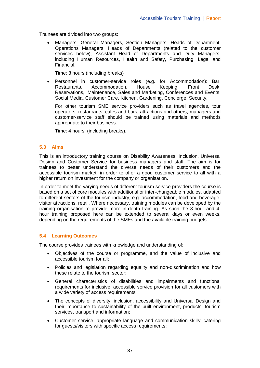Trainees are divided into two groups:

 Managers: General Managers, Section Managers, Heads of Department: Operations Managers, Heads of Departments (related to the customer services below), Assistant Head of Departments and Duty Managers, including Human Resources, Health and Safety, Purchasing, Legal and Financial.

Time: 8 hours (including breaks)

 Personnel in customer-service roles (e.g. for Accommodation): Bar, Restaurants, Accommodation, House Keeping, Front Desk, Reservations, Maintenance, Sales and Marketing, Conferences and Events, Social Media, Customer Care, Kitchen, Gardening, Concierge, Security.

For other tourism SME service providers such as travel agencies, tour operators, restaurants, cafes and bars, attractions and others, managers and customer-service staff should be trained using materials and methods appropriate to their business.

Time: 4 hours, (including breaks).

#### **5.3 Aims**

This is an introductory training course on Disability Awareness, Inclusion, Universal Design and Customer Service for business managers and staff. The aim is for trainees to better understand the diverse needs of their customers and the accessible tourism market, in order to offer a good customer service to all with a higher return on investment for the company or organisation.

In order to meet the varying needs of different tourism service providers the course is based on a set of core modules with additional or inter-changeable modules, adapted to different sectors of the tourism industry, e.g. accommodation, food and beverage, visitor attractions, retail. Where necessary, training modules can be developed by the training organisation to provide more in-depth training. As such the 8-hour and 4 hour training proposed here can be extended to several days or even weeks, depending on the requirements of the SMEs and the available training budgets.

#### **5.4 Learning Outcomes**

The course provides trainees with knowledge and understanding of:

- Objectives of the course or programme, and the value of inclusive and accessible tourism for all;
- Policies and legislation regarding equality and non-discrimination and how these relate to the tourism sector;
- General characteristics of disabilities and impairments and functional requirements for inclusive, accessible service provision for all customers with a wide variety of access requirements;
- The concepts of diversity, inclusion, accessibility and Universal Design and their importance to sustainability of the built environment, products, tourism services, transport and information;
- Customer service, appropriate language and communication skills: catering for guests/visitors with specific access requirements;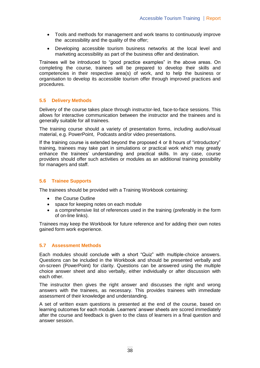- Tools and methods for management and work teams to continuously improve the accessibility and the quality of the offer;
- Developing accessible tourism business networks at the local level and marketing accessibility as part of the business offer and destination.

Trainees will be introduced to "good practice examples" in the above areas. On completing the course, trainees will be prepared to develop their skills and competencies in their respective area(s) of work, and to help the business or organisation to develop its accessible tourism offer through improved practices and procedures.

#### **5.5 Delivery Methods**

Delivery of the course takes place through instructor-led, face-to-face sessions. This allows for interactive communication between the instructor and the trainees and is generally suitable for all trainees.

The training course should a variety of presentation forms, including audio/visual material, e.g. PowerPoint, Podcasts and/or video presentations.

If the training course is extended beyond the proposed 4 or 8 hours of "introductory" training, trainees may take part in simulations or practical work which may greatly enhance the trainees' understanding and practical skills. In any case, course providers should offer such activities or modules as an additional training possibility for managers and staff.

#### **5.6 Trainee Supports**

The trainees should be provided with a Training Workbook containing:

- the Course Outline
- space for keeping notes on each module
- a comprehensive list of references used in the training (preferably in the form of on-line links).

Trainees may keep the Workbook for future reference and for adding their own notes gained form work experience.

#### **5.7 Assessment Methods**

Each modules should conclude with a short "Quiz" with multiple-choice answers. Questions can be included in the Workbook and should be presented verbally and on-screen (PowerPoint) for clarity. Questions can be answered using the multiple choice answer sheet and also verbally, either individually or after discussion with each other.

The instructor then gives the right answer and discusses the right and wrong answers with the trainees, as necessary. This provides trainees with immediate assessment of their knowledge and understanding.

A set of written exam questions is presented at the end of the course, based on learning outcomes for each module. Learners' answer sheets are scored immediately after the course and feedback is given to the class of learners in a final question and answer session.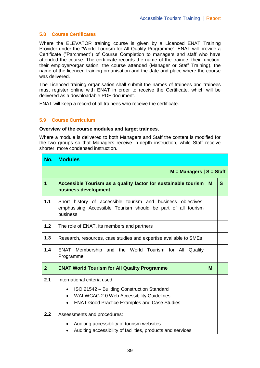## **5.8 Course Certificates**

Where the ELEVATOR training course is given by a Licenced ENAT Training Provider under the "World Tourism for All Quality Programme", ENAT will provide a Certificate ("Parchment") of Course Completion to managers and staff who have attended the course. The certificate records the name of the trainee, their function, their employer/organisation, the course attended (Manager or Staff Training), the name of the licenced training organisation and the date and place where the course was delivered.

The Licenced training organisation shall submit the names of trainees and trainees must register online with ENAT in order to receive the Certificate, which will be delivered as a downloadable PDF document.

ENAT will keep a record of all trainees who receive the certificate.

## **5.9 Course Curriculum**

#### **Overview of the course modules and target trainees.**

Where a module is delivered to both Managers and Staff the content is modified for the two groups so that Managers receive in-depth instruction, while Staff receive shorter, more condensed instruction.

| No.                         | <b>Modules</b>                                                                                                                                                                                                       |   |   |
|-----------------------------|----------------------------------------------------------------------------------------------------------------------------------------------------------------------------------------------------------------------|---|---|
| $M =$ Managers $ S =$ Staff |                                                                                                                                                                                                                      |   |   |
| $\overline{1}$              | Accessible Tourism as a quality factor for sustainable tourism<br>business development                                                                                                                               | M | S |
| 1.1                         | Short history of accessible tourism and business objectives,<br>emphasising Accessible Tourism should be part of all tourism<br>business                                                                             |   |   |
| 1.2                         | The role of ENAT, its members and partners                                                                                                                                                                           |   |   |
| 1.3                         | Research, resources, case studies and expertise available to SMEs                                                                                                                                                    |   |   |
| 1.4                         | Membership and the World Tourism for All Quality<br>ENAT<br>Programme                                                                                                                                                |   |   |
| 2 <sup>1</sup>              | <b>ENAT World Tourism for All Quality Programme</b>                                                                                                                                                                  | M |   |
| 2.1                         | International criteria used<br>ISO 21542 - Building Construction Standard<br>$\bullet$<br>WAI-WCAG 2.0 Web Accessibility Guidelines<br>$\bullet$<br><b>ENAT Good Practice Examples and Case Studies</b><br>$\bullet$ |   |   |
| 2.2                         | Assessments and procedures:<br>Auditing accessibility of tourism websites<br>٠<br>Auditing accessibility of facilities, products and services<br>$\bullet$                                                           |   |   |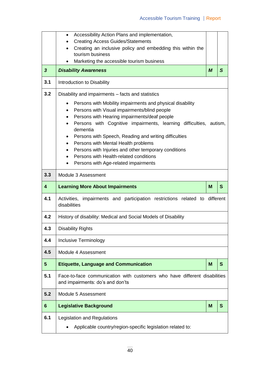|                         | Accessibility Action Plans and implementation,<br>$\bullet$                                                                                                                                                                                                                                                                                                                                                                                                                                                                                   |                  |   |  |  |
|-------------------------|-----------------------------------------------------------------------------------------------------------------------------------------------------------------------------------------------------------------------------------------------------------------------------------------------------------------------------------------------------------------------------------------------------------------------------------------------------------------------------------------------------------------------------------------------|------------------|---|--|--|
|                         | <b>Creating Access Guides/Statements</b>                                                                                                                                                                                                                                                                                                                                                                                                                                                                                                      |                  |   |  |  |
|                         | Creating an inclusive policy and embedding this within the<br>$\bullet$<br>tourism business                                                                                                                                                                                                                                                                                                                                                                                                                                                   |                  |   |  |  |
|                         | Marketing the accessible tourism business                                                                                                                                                                                                                                                                                                                                                                                                                                                                                                     |                  |   |  |  |
| $\overline{\mathbf{3}}$ | <b>Disability Awareness</b>                                                                                                                                                                                                                                                                                                                                                                                                                                                                                                                   | $\boldsymbol{M}$ | S |  |  |
| 3.1                     | Introduction to Disability                                                                                                                                                                                                                                                                                                                                                                                                                                                                                                                    |                  |   |  |  |
| 3.2                     | Disability and impairments – facts and statistics                                                                                                                                                                                                                                                                                                                                                                                                                                                                                             |                  |   |  |  |
|                         | Persons with Mobility impairments and physical disability<br>$\bullet$<br>Persons with Visual impairments/blind people<br>$\bullet$<br>Persons with Hearing impairments/deaf people<br>٠<br>Persons with Cognitive impairments, learning difficulties, autism,<br>$\bullet$<br>dementia<br>Persons with Speech, Reading and writing difficulties<br>$\bullet$<br>Persons with Mental Health problems<br>$\bullet$<br>Persons with Injuries and other temporary conditions<br>$\bullet$<br>Persons with Health-related conditions<br>$\bullet$ |                  |   |  |  |
|                         | Persons with Age-related impairments<br>$\bullet$                                                                                                                                                                                                                                                                                                                                                                                                                                                                                             |                  |   |  |  |
| 3.3                     | Module 3 Assessment                                                                                                                                                                                                                                                                                                                                                                                                                                                                                                                           |                  |   |  |  |
|                         |                                                                                                                                                                                                                                                                                                                                                                                                                                                                                                                                               |                  |   |  |  |
| $\overline{\mathbf{4}}$ | <b>Learning More About Impairments</b>                                                                                                                                                                                                                                                                                                                                                                                                                                                                                                        | M                | S |  |  |
| 4.1                     | impairments and participation restrictions related to different<br>Activities,<br>disabilities                                                                                                                                                                                                                                                                                                                                                                                                                                                |                  |   |  |  |
| 4.2                     | History of disability: Medical and Social Models of Disability                                                                                                                                                                                                                                                                                                                                                                                                                                                                                |                  |   |  |  |
| 4.3                     | <b>Disability Rights</b>                                                                                                                                                                                                                                                                                                                                                                                                                                                                                                                      |                  |   |  |  |
| 4.4                     | Inclusive Terminology                                                                                                                                                                                                                                                                                                                                                                                                                                                                                                                         |                  |   |  |  |
| 4.5                     | Module 4 Assessment                                                                                                                                                                                                                                                                                                                                                                                                                                                                                                                           |                  |   |  |  |
| 5                       | <b>Etiquette, Language and Communication</b>                                                                                                                                                                                                                                                                                                                                                                                                                                                                                                  | M                | S |  |  |
| 5.1                     | Face-to-face communication with customers who have different disabilities<br>and impairments: do's and don'ts                                                                                                                                                                                                                                                                                                                                                                                                                                 |                  |   |  |  |
| 5.2                     | Module 5 Assessment                                                                                                                                                                                                                                                                                                                                                                                                                                                                                                                           |                  |   |  |  |
| 6                       | <b>Legislative Background</b>                                                                                                                                                                                                                                                                                                                                                                                                                                                                                                                 | M                | S |  |  |
| 6.1                     | Legislation and Regulations<br>Applicable country/region-specific legislation related to:                                                                                                                                                                                                                                                                                                                                                                                                                                                     |                  |   |  |  |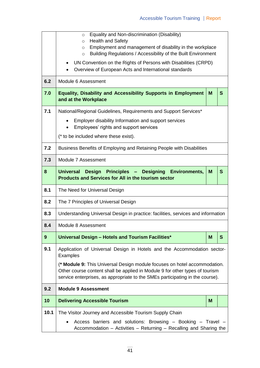|      | Equality and Non-discrimination (Disability)<br>$\circ$<br><b>Health and Safety</b><br>$\circ$                                                                                                                                             |   |  |  |  |  |
|------|--------------------------------------------------------------------------------------------------------------------------------------------------------------------------------------------------------------------------------------------|---|--|--|--|--|
|      | Employment and management of disability in the workplace<br>$\circ$<br>Building Regulations / Accessibility of the Built Environment<br>$\circ$                                                                                            |   |  |  |  |  |
|      | UN Convention on the Rights of Persons with Disabilities (CRPD)<br>$\bullet$<br>Overview of European Acts and International standards                                                                                                      |   |  |  |  |  |
| 6.2  | Module 6 Assessment                                                                                                                                                                                                                        |   |  |  |  |  |
| 7.0  | <b>Equality, Disability and Accessibility Supports in Employment</b><br>and at the Workplace                                                                                                                                               |   |  |  |  |  |
| 7.1  | National/Regional Guidelines, Requirements and Support Services*                                                                                                                                                                           |   |  |  |  |  |
|      | Employer disability Information and support services<br>Employees' rights and support services                                                                                                                                             |   |  |  |  |  |
|      | (* to be included where these exist).                                                                                                                                                                                                      |   |  |  |  |  |
| 7.2  | Business Benefits of Employing and Retaining People with Disabilities                                                                                                                                                                      |   |  |  |  |  |
| 7.3  | Module 7 Assessment                                                                                                                                                                                                                        |   |  |  |  |  |
| 8    | S<br>Universal Design Principles - Designing Environments,<br>M<br><b>Products and Services for All in the tourism sector</b>                                                                                                              |   |  |  |  |  |
| 8.1  | The Need for Universal Design                                                                                                                                                                                                              |   |  |  |  |  |
| 8.2  | The 7 Principles of Universal Design                                                                                                                                                                                                       |   |  |  |  |  |
| 8.3  | Understanding Universal Design in practice: facilities, services and information                                                                                                                                                           |   |  |  |  |  |
| 8.4  | Module 8 Assessment                                                                                                                                                                                                                        |   |  |  |  |  |
| 9    | S<br>M<br>Universal Design - Hotels and Tourism Facilities*                                                                                                                                                                                |   |  |  |  |  |
| 9.1  | Application of Universal Design in Hotels and the Accommodation sector-<br>Examples                                                                                                                                                        |   |  |  |  |  |
|      | (* Module 9: This Universal Design module focuses on hotel accommodation.<br>Other course content shall be applied in Module 9 for other types of tourism<br>service enterprises, as appropriate to the SMEs participating in the course). |   |  |  |  |  |
| 9.2  | <b>Module 9 Assessment</b>                                                                                                                                                                                                                 |   |  |  |  |  |
| 10   | <b>Delivering Accessible Tourism</b>                                                                                                                                                                                                       | M |  |  |  |  |
| 10.1 | The Visitor Journey and Accessible Tourism Supply Chain                                                                                                                                                                                    |   |  |  |  |  |
|      | Access barriers and solutions: Browsing - Booking - Travel<br>Accommodation - Activities - Returning - Recalling and Sharing the                                                                                                           |   |  |  |  |  |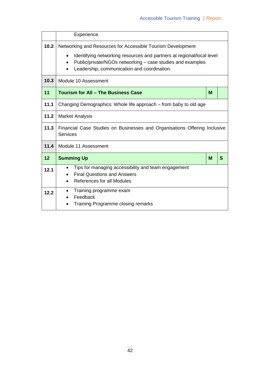|      | Experience.                                                                                                                                                                                                                                                                 |   |   |
|------|-----------------------------------------------------------------------------------------------------------------------------------------------------------------------------------------------------------------------------------------------------------------------------|---|---|
| 10.2 | Networking and Resources for Accessible Tourism Development<br>Identifying networking resources and partners at regional/local level<br>$\bullet$<br>Public/private/NGOs networking – case studies and examples<br>$\bullet$<br>Leadership, communication and coordination. |   |   |
| 10.3 | Module 10 Assessment                                                                                                                                                                                                                                                        |   |   |
| 11   | <b>Tourism for All - The Business Case</b>                                                                                                                                                                                                                                  | M |   |
| 11.1 | Changing Demographics: Whole life approach – from baby to old age                                                                                                                                                                                                           |   |   |
| 11.2 | <b>Market Analysis</b>                                                                                                                                                                                                                                                      |   |   |
| 11.3 | Financial Case Studies on Businesses and Organisations Offering Inclusive<br><b>Services</b>                                                                                                                                                                                |   |   |
| 11.4 | Module 11 Assessment                                                                                                                                                                                                                                                        |   |   |
| 12   | <b>Summing Up</b>                                                                                                                                                                                                                                                           |   | S |
| 12.1 | Tips for managing accessibility and team engagement<br>$\bullet$<br><b>Final Questions and Answers</b><br>References for all Modules                                                                                                                                        |   |   |
| 12.2 | Training programme exam<br>$\bullet$<br>Feedback<br>Training Programme closing remarks                                                                                                                                                                                      |   |   |